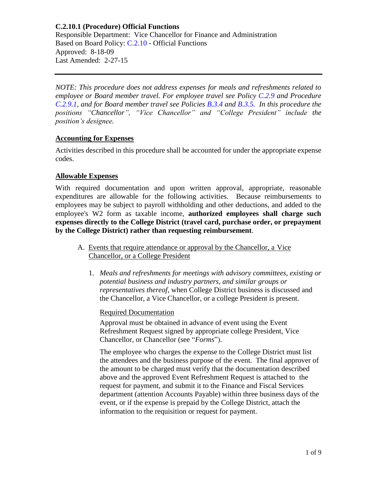Responsible Department: Vice Chancellor for Finance and Administration Based on Board Policy: [C.2.10](https://www.alamo.edu/siteassets/district/about-us/leadership/board-of-trustees/policies-pdfs/section-c/c.2.10-policy.pdf) - Official Functions Approved: 8-18-09 Last Amended: 2-27-15

*NOTE: This procedure does not address expenses for meals and refreshments related to employee or Board member travel. For employee travel see Policy [C.2.9](https://www.alamo.edu/siteassets/district/about-us/leadership/board-of-trustees/policies-pdfs/section-c/c.2.9-policy.pdf) and Procedure [C.2.9.1,](https://www.alamo.edu/siteassets/district/about-us/leadership/board-of-trustees/policies-pdfs/section-c/c.2.9.1-procedure.pdf) and for Board member travel see Policies [B.3.4](https://www.alamo.edu/siteassets/district/about-us/leadership/board-of-trustees/policies-pdfs/section-b/b.3.4-policy.pdf) and [B.3.5.](https://www.alamo.edu/siteassets/district/about-us/leadership/board-of-trustees/policies-pdfs/section-b/b.3.5-policy.pdf) In this procedure the positions "Chancellor", "Vice Chancellor" and "College President" include the position's designee.*

### **Accounting for Expenses**

Activities described in this procedure shall be accounted for under the appropriate expense codes.

# **Allowable Expenses**

With required documentation and upon written approval, appropriate, reasonable expenditures are allowable for the following activities. Because reimbursements to employees may be subject to payroll withholding and other deductions, and added to the employee's W2 form as taxable income, **authorized employees shall charge such expenses directly to the College District (travel card, purchase order, or prepayment by the College District) rather than requesting reimbursement**.

- A. Events that require attendance or approval by the Chancellor, a Vice Chancellor, or a College President
	- 1. *Meals and refreshments for meetings with advisory committees, existing or potential business and industry partners, and similar groups or representatives thereof*, when College District business is discussed and the Chancellor, a Vice Chancellor, or a college President is present.

## Required Documentation

Approval must be obtained in advance of event using the Event Refreshment Request signed by appropriate college President, Vice Chancellor, or Chancellor (see "*Forms*").

The employee who charges the expense to the College District must list the attendees and the business purpose of the event. The final approver of the amount to be charged must verify that the documentation described above and the approved Event Refreshment Request is attached to the request for payment, and submit it to the Finance and Fiscal Services department (attention Accounts Payable) within three business days of the event, or if the expense is prepaid by the College District, attach the information to the requisition or request for payment.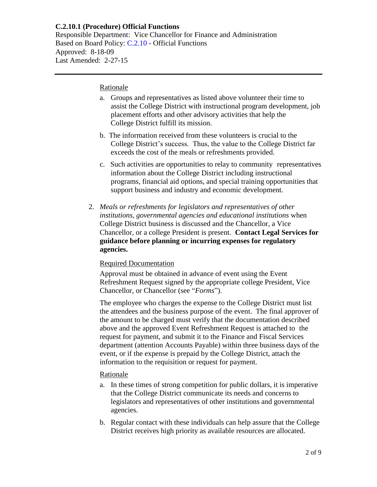Responsible Department: Vice Chancellor for Finance and Administration Based on Board Policy: [C.2.10](https://www.alamo.edu/siteassets/district/about-us/leadership/board-of-trustees/policies-pdfs/section-c/c.2.10-policy.pdf) - Official Functions Approved: 8-18-09 Last Amended: 2-27-15

#### Rationale

- a. Groups and representatives as listed above volunteer their time to assist the College District with instructional program development, job placement efforts and other advisory activities that help the College District fulfill its mission.
- b. The information received from these volunteers is crucial to the College District's success. Thus, the value to the College District far exceeds the cost of the meals or refreshments provided.
- c. Such activities are opportunities to relay to community representatives information about the College District including instructional programs, financial aid options, and special training opportunities that support business and industry and economic development.
- 2. *Meals or refreshments for legislators and representatives of other institutions, governmental agencies and educational institutions* when College District business is discussed and the Chancellor, a Vice Chancellor, or a college President is present. **Contact Legal Services for guidance before planning or incurring expenses for regulatory agencies.**

#### Required Documentation

Approval must be obtained in advance of event using the Event Refreshment Request signed by the appropriate college President, Vice Chancellor, or Chancellor (see "*Forms*").

The employee who charges the expense to the College District must list the attendees and the business purpose of the event. The final approver of the amount to be charged must verify that the documentation described above and the approved Event Refreshment Request is attached to the request for payment, and submit it to the Finance and Fiscal Services department (attention Accounts Payable) within three business days of the event, or if the expense is prepaid by the College District, attach the information to the requisition or request for payment.

#### **Rationale**

- a. In these times of strong competition for public dollars, it is imperative that the College District communicate its needs and concerns to legislators and representatives of other institutions and governmental agencies.
- b. Regular contact with these individuals can help assure that the College District receives high priority as available resources are allocated.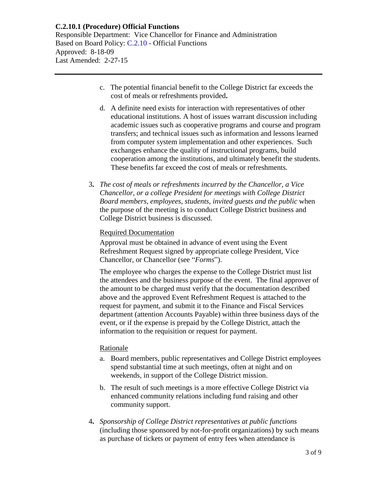Responsible Department: Vice Chancellor for Finance and Administration Based on Board Policy: [C.2.10](https://www.alamo.edu/siteassets/district/about-us/leadership/board-of-trustees/policies-pdfs/section-c/c.2.10-policy.pdf) - Official Functions Approved: 8-18-09 Last Amended: 2-27-15

- c. The potential financial benefit to the College District far exceeds the cost of meals or refreshments provided**.**
- d. A definite need exists for interaction with representatives of other educational institutions. A host of issues warrant discussion including academic issues such as cooperative programs and course and program transfers; and technical issues such as information and lessons learned from computer system implementation and other experiences. Such exchanges enhance the quality of instructional programs, build cooperation among the institutions, and ultimately benefit the students. These benefits far exceed the cost of meals or refreshments.
- 3**.** *The cost of meals or refreshments incurred by the Chancellor, a Vice Chancellor, or a college President for meetings with College District Board members, employees, students, invited guests and the public* when the purpose of the meeting is to conduct College District business and College District business is discussed.

### Required Documentation

Approval must be obtained in advance of event using the Event Refreshment Request signed by appropriate college President, Vice Chancellor, or Chancellor (see "*Forms*").

The employee who charges the expense to the College District must list the attendees and the business purpose of the event. The final approver of the amount to be charged must verify that the documentation described above and the approved Event Refreshment Request is attached to the request for payment, and submit it to the Finance and Fiscal Services department (attention Accounts Payable) within three business days of the event, or if the expense is prepaid by the College District, attach the information to the requisition or request for payment.

#### Rationale

- a. Board members, public representatives and College District employees spend substantial time at such meetings, often at night and on weekends, in support of the College District mission.
- b. The result of such meetings is a more effective College District via enhanced community relations including fund raising and other community support.
- 4**.** *Sponsorship of College District representatives at public functions*  (including those sponsored by not-for-profit organizations) by such means as purchase of tickets or payment of entry fees when attendance is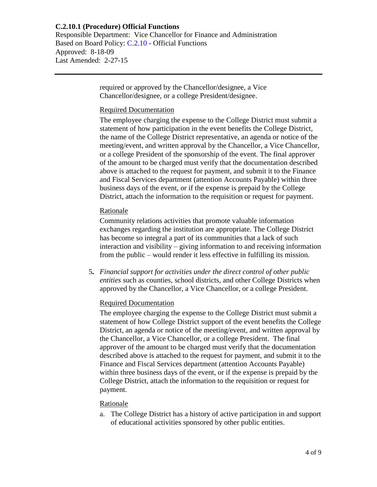Responsible Department: Vice Chancellor for Finance and Administration Based on Board Policy: [C.2.10](https://www.alamo.edu/siteassets/district/about-us/leadership/board-of-trustees/policies-pdfs/section-c/c.2.10-policy.pdf) - Official Functions Approved: 8-18-09 Last Amended: 2-27-15

> required or approved by the Chancellor/designee, a Vice Chancellor/designee, or a college President/designee.

### Required Documentation

The employee charging the expense to the College District must submit a statement of how participation in the event benefits the College District, the name of the College District representative, an agenda or notice of the meeting/event, and written approval by the Chancellor, a Vice Chancellor, or a college President of the sponsorship of the event. The final approver of the amount to be charged must verify that the documentation described above is attached to the request for payment, and submit it to the Finance and Fiscal Services department (attention Accounts Payable) within three business days of the event, or if the expense is prepaid by the College District, attach the information to the requisition or request for payment.

## Rationale

Community relations activities that promote valuable information exchanges regarding the institution are appropriate. The College District has become so integral a part of its communities that a lack of such interaction and visibility – giving information to and receiving information from the public – would render it less effective in fulfilling its mission.

5**.** *Financial support for activities under the direct control of other public entities* such as counties, school districts, and other College Districts when approved by the Chancellor, a Vice Chancellor, or a college President.

## Required Documentation

The employee charging the expense to the College District must submit a statement of how College District support of the event benefits the College District, an agenda or notice of the meeting/event, and written approval by the Chancellor, a Vice Chancellor, or a college President. The final approver of the amount to be charged must verify that the documentation described above is attached to the request for payment, and submit it to the Finance and Fiscal Services department (attention Accounts Payable) within three business days of the event, or if the expense is prepaid by the College District, attach the information to the requisition or request for payment.

#### Rationale

a. The College District has a history of active participation in and support of educational activities sponsored by other public entities.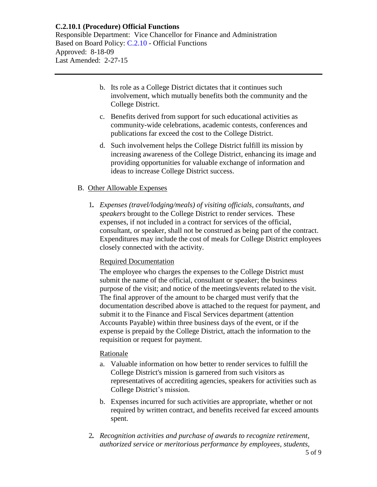Responsible Department: Vice Chancellor for Finance and Administration Based on Board Policy: [C.2.10](https://www.alamo.edu/siteassets/district/about-us/leadership/board-of-trustees/policies-pdfs/section-c/c.2.10-policy.pdf) - Official Functions Approved: 8-18-09 Last Amended: 2-27-15

- b. Its role as a College District dictates that it continues such involvement, which mutually benefits both the community and the College District.
- c. Benefits derived from support for such educational activities as community-wide celebrations, academic contests, conferences and publications far exceed the cost to the College District.
- d. Such involvement helps the College District fulfill its mission by increasing awareness of the College District, enhancing its image and providing opportunities for valuable exchange of information and ideas to increase College District success.

# B. Other Allowable Expenses

1*. Expenses (travel/lodging/meals) of visiting officials, consultants, and speakers* brought to the College District to render services. These expenses, if not included in a contract for services of the official, consultant, or speaker, shall not be construed as being part of the contract. Expenditures may include the cost of meals for College District employees closely connected with the activity.

## Required Documentation

The employee who charges the expenses to the College District must submit the name of the official, consultant or speaker; the business purpose of the visit; and notice of the meetings/events related to the visit. The final approver of the amount to be charged must verify that the documentation described above is attached to the request for payment, and submit it to the Finance and Fiscal Services department (attention Accounts Payable) within three business days of the event, or if the expense is prepaid by the College District, attach the information to the requisition or request for payment.

## Rationale

- a. Valuable information on how better to render services to fulfill the College District's mission is garnered from such visitors as representatives of accrediting agencies, speakers for activities such as College District's mission.
- b. Expenses incurred for such activities are appropriate, whether or not required by written contract, and benefits received far exceed amounts spent.
- 2*. Recognition activities and purchase of awards to recognize retirement, authorized service or meritorious performance by employees, students,*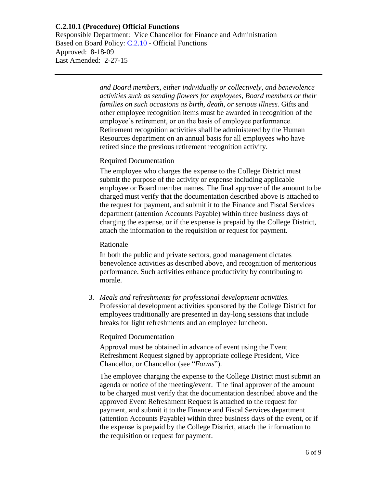Responsible Department: Vice Chancellor for Finance and Administration Based on Board Policy: [C.2.10](https://www.alamo.edu/siteassets/district/about-us/leadership/board-of-trustees/policies-pdfs/section-c/c.2.10-policy.pdf) - Official Functions Approved: 8-18-09 Last Amended: 2-27-15

> *and Board members, either individually or collectively, and benevolence activities such as sending flowers for employees, Board members or their families on such occasions as birth, death, or serious illness.* Gifts and other employee recognition items must be awarded in recognition of the employee's retirement, or on the basis of employee performance. Retirement recognition activities shall be administered by the Human Resources department on an annual basis for all employees who have retired since the previous retirement recognition activity.

### **Required Documentation**

The employee who charges the expense to the College District must submit the purpose of the activity or expense including applicable employee or Board member names. The final approver of the amount to be charged must verify that the documentation described above is attached to the request for payment, and submit it to the Finance and Fiscal Services department (attention Accounts Payable) within three business days of charging the expense, or if the expense is prepaid by the College District, attach the information to the requisition or request for payment.

#### Rationale

In both the public and private sectors, good management dictates benevolence activities as described above, and recognition of meritorious performance. Such activities enhance productivity by contributing to morale.

3. *Meals and refreshments for professional development activities.*  Professional development activities sponsored by the College District for employees traditionally are presented in day-long sessions that include breaks for light refreshments and an employee luncheon.

## Required Documentation

Approval must be obtained in advance of event using the Event Refreshment Request signed by appropriate college President, Vice Chancellor, or Chancellor (see "*Forms*").

The employee charging the expense to the College District must submit an agenda or notice of the meeting/event. The final approver of the amount to be charged must verify that the documentation described above and the approved Event Refreshment Request is attached to the request for payment, and submit it to the Finance and Fiscal Services department (attention Accounts Payable) within three business days of the event, or if the expense is prepaid by the College District, attach the information to the requisition or request for payment.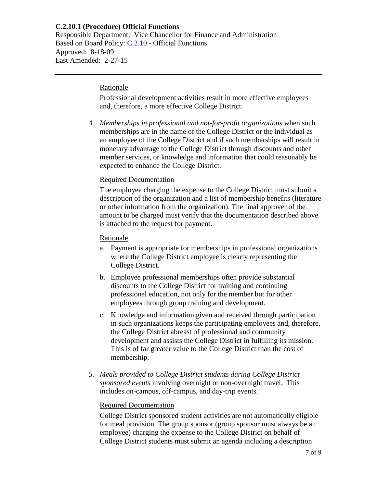Responsible Department: Vice Chancellor for Finance and Administration Based on Board Policy: [C.2.10](https://www.alamo.edu/siteassets/district/about-us/leadership/board-of-trustees/policies-pdfs/section-c/c.2.10-policy.pdf) - Official Functions Approved: 8-18-09 Last Amended: 2-27-15

#### **Rationale**

Professional development activities result in more effective employees and, therefore, a more effective College District.

4. *Memberships in professional and not-for-profit organizations* when such memberships are in the name of the College District or the individual as an employee of the College District and if such memberships will result in monetary advantage to the College District through discounts and other member services, or knowledge and information that could reasonably be expected to enhance the College District.

## Required Documentation

The employee charging the expense to the College District must submit a description of the organization and a list of membership benefits (literature or other information from the organization). The final approver of the amount to be charged must verify that the documentation described above is attached to the request for payment.

### Rationale

- a. Payment is appropriate for memberships in professional organizations where the College District employee is clearly representing the College District.
- b. Employee professional memberships often provide substantial discounts to the College District for training and continuing professional education, not only for the member but for other employees through group training and development.
- c. Knowledge and information given and received through participation in such organizations keeps the participating employees and, therefore, the College District abreast of professional and community development and assists the College District in fulfilling its mission. This is of far greater value to the College District than the cost of membership.
- 5. *Meals provided to College District students during College District sponsored events* involving overnight or non-overnight travel. This includes on-campus, off-campus, and day-trip events.

### Required Documentation

College District sponsored student activities are not automatically eligible for meal provision. The group sponsor (group sponsor must always be an employee) charging the expense to the College District on behalf of College District students must submit an agenda including a description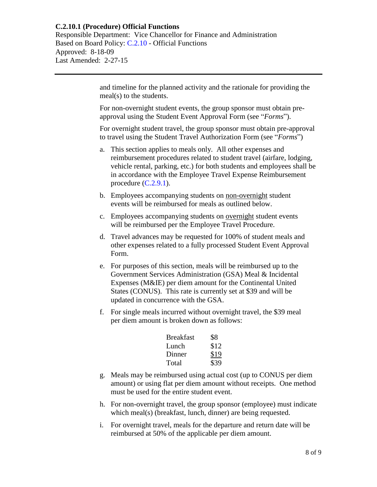Responsible Department: Vice Chancellor for Finance and Administration Based on Board Policy: [C.2.10](https://www.alamo.edu/siteassets/district/about-us/leadership/board-of-trustees/policies-pdfs/section-c/c.2.10-policy.pdf) - Official Functions Approved: 8-18-09 Last Amended: 2-27-15

> and timeline for the planned activity and the rationale for providing the meal(s) to the students.

For non-overnight student events, the group sponsor must obtain preapproval using the Student Event Approval Form (see "*Forms*").

For overnight student travel, the group sponsor must obtain pre-approval to travel using the Student Travel Authorization Form (see "*Forms*")

- a. This section applies to meals only. All other expenses and reimbursement procedures related to student travel (airfare, lodging, vehicle rental, parking, etc.) for both students and employees shall be in accordance with the Employee Travel Expense Reimbursement procedure  $(C.2.9.1)$ .
- b. Employees accompanying students on non-overnight student events will be reimbursed for meals as outlined below.
- c. Employees accompanying students on <u>overnight</u> student events will be reimbursed per the Employee Travel Procedure.
- d. Travel advances may be requested for 100% of student meals and other expenses related to a fully processed Student Event Approval Form.
- e. For purposes of this section, meals will be reimbursed up to the Government Services Administration (GSA) Meal & Incidental Expenses (M&IE) per diem amount for the Continental United States (CONUS). This rate is currently set at \$39 and will be updated in concurrence with the GSA.
- f. For single meals incurred without overnight travel, the \$39 meal per diem amount is broken down as follows:

| <b>Breakfast</b> | \$8  |
|------------------|------|
| Lunch            | \$12 |
| Dinner           | \$19 |
| Total            | \$39 |

- g. Meals may be reimbursed using actual cost (up to CONUS per diem amount) or using flat per diem amount without receipts. One method must be used for the entire student event.
- h. For non-overnight travel, the group sponsor (employee) must indicate which meal(s) (breakfast, lunch, dinner) are being requested.
- i. For overnight travel, meals for the departure and return date will be reimbursed at 50% of the applicable per diem amount.